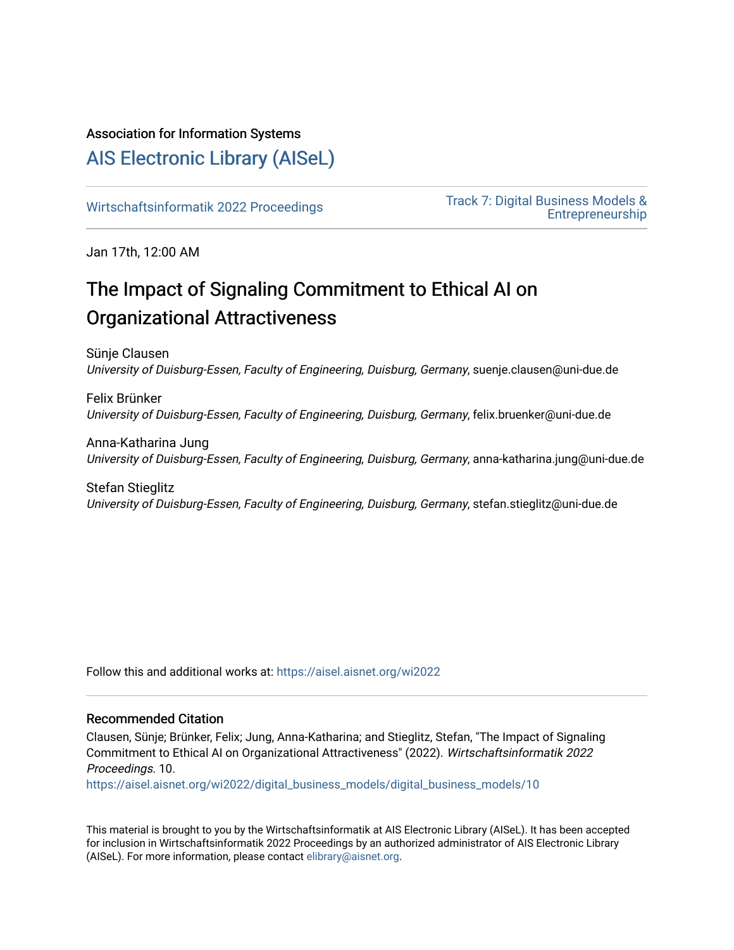## Association for Information Systems

# [AIS Electronic Library \(AISeL\)](https://aisel.aisnet.org/)

Wirtschaftsinformatik 2022 Proceedings<br>
Track 7: Digital Business Models & [Entrepreneurship](https://aisel.aisnet.org/wi2022/digital_business_models) 

Jan 17th, 12:00 AM

# The Impact of Signaling Commitment to Ethical AI on Organizational Attractiveness

Sünje Clausen University of Duisburg-Essen, Faculty of Engineering, Duisburg, Germany, suenje.clausen@uni-due.de

Felix Brünker University of Duisburg-Essen, Faculty of Engineering, Duisburg, Germany, felix.bruenker@uni-due.de

Anna-Katharina Jung University of Duisburg-Essen, Faculty of Engineering, Duisburg, Germany, anna-katharina.jung@uni-due.de

Stefan Stieglitz University of Duisburg-Essen, Faculty of Engineering, Duisburg, Germany, stefan.stieglitz@uni-due.de

Follow this and additional works at: [https://aisel.aisnet.org/wi2022](https://aisel.aisnet.org/wi2022?utm_source=aisel.aisnet.org%2Fwi2022%2Fdigital_business_models%2Fdigital_business_models%2F10&utm_medium=PDF&utm_campaign=PDFCoverPages) 

#### Recommended Citation

Clausen, Sünje; Brünker, Felix; Jung, Anna-Katharina; and Stieglitz, Stefan, "The Impact of Signaling Commitment to Ethical AI on Organizational Attractiveness" (2022). Wirtschaftsinformatik 2022 Proceedings. 10.

[https://aisel.aisnet.org/wi2022/digital\\_business\\_models/digital\\_business\\_models/10](https://aisel.aisnet.org/wi2022/digital_business_models/digital_business_models/10?utm_source=aisel.aisnet.org%2Fwi2022%2Fdigital_business_models%2Fdigital_business_models%2F10&utm_medium=PDF&utm_campaign=PDFCoverPages)

This material is brought to you by the Wirtschaftsinformatik at AIS Electronic Library (AISeL). It has been accepted for inclusion in Wirtschaftsinformatik 2022 Proceedings by an authorized administrator of AIS Electronic Library (AISeL). For more information, please contact [elibrary@aisnet.org](mailto:elibrary@aisnet.org%3E).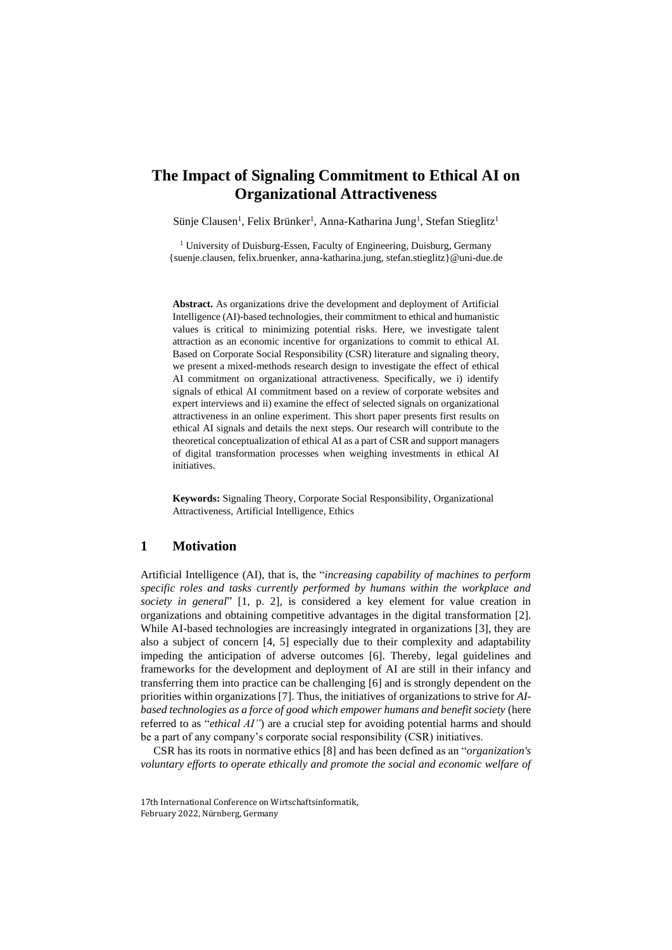### **The Impact of Signaling Commitment to Ethical AI on Organizational Attractiveness**

Sünje Clausen<sup>1</sup>, Felix Brünker<sup>1</sup>, Anna-Katharina Jung<sup>1</sup>, Stefan Stieglitz<sup>1</sup>

<sup>1</sup> University of Duisburg-Essen, Faculty of Engineering, Duisburg, Germany {suenje.clausen, felix.bruenker, anna-katharina.jung, stefan.stieglitz}@uni-due.de

**Abstract.** As organizations drive the development and deployment of Artificial Intelligence (AI)-based technologies, their commitment to ethical and humanistic values is critical to minimizing potential risks. Here, we investigate talent attraction as an economic incentive for organizations to commit to ethical AI. Based on Corporate Social Responsibility (CSR) literature and signaling theory, we present a mixed-methods research design to investigate the effect of ethical AI commitment on organizational attractiveness. Specifically, we i) identify signals of ethical AI commitment based on a review of corporate websites and expert interviews and ii) examine the effect of selected signals on organizational attractiveness in an online experiment. This short paper presents first results on ethical AI signals and details the next steps. Our research will contribute to the theoretical conceptualization of ethical AI as a part of CSR and support managers of digital transformation processes when weighing investments in ethical AI initiatives.

**Keywords:** Signaling Theory, Corporate Social Responsibility, Organizational Attractiveness, Artificial Intelligence, Ethics

#### **1 Motivation**

Artificial Intelligence (AI), that is, the "*increasing capability of machines to perform specific roles and tasks currently performed by humans within the workplace and society in general*" [1, p. 2], is considered a key element for value creation in organizations and obtaining competitive advantages in the digital transformation [2]. While AI-based technologies are increasingly integrated in organizations [3], they are also a subject of concern [4, 5] especially due to their complexity and adaptability impeding the anticipation of adverse outcomes [6]. Thereby, legal guidelines and frameworks for the development and deployment of AI are still in their infancy and transferring them into practice can be challenging [6] and is strongly dependent on the priorities within organizations [7]. Thus, the initiatives of organizations to strive for *AIbased technologies as a force of good which empower humans and benefit society* (here referred to as "*ethical AI"*) are a crucial step for avoiding potential harms and should be a part of any company's corporate social responsibility (CSR) initiatives.

CSR has its roots in normative ethics [8] and has been defined as an "*organization's voluntary efforts to operate ethically and promote the social and economic welfare of* 

<sup>17</sup>th International Conference on Wirtschaftsinformatik, February 2022, Nürnberg, Germany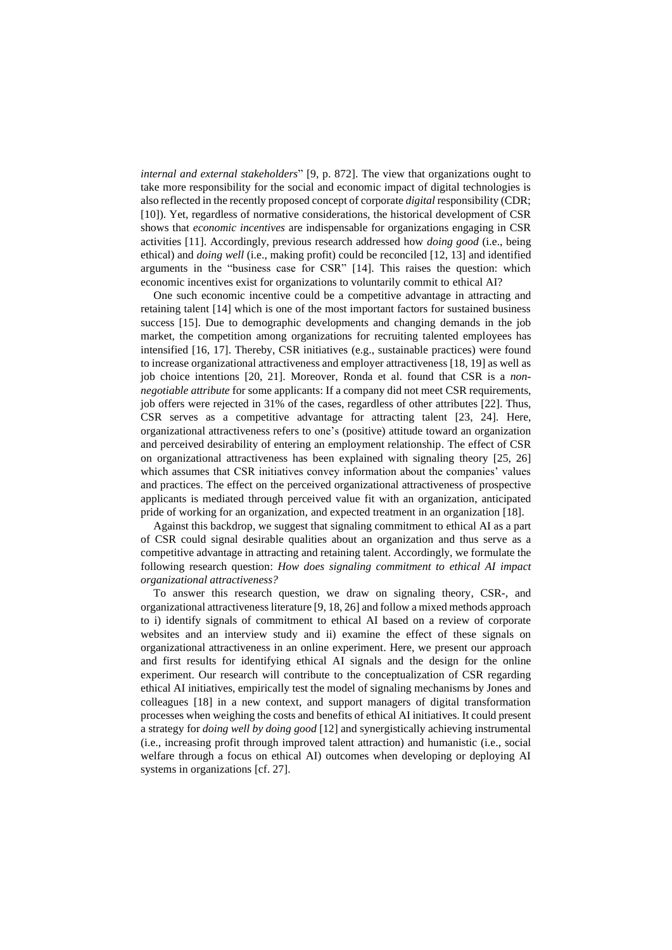*internal and external stakeholders*" [9, p. 872]. The view that organizations ought to take more responsibility for the social and economic impact of digital technologies is also reflected in the recently proposed concept of corporate *digital* responsibility (CDR; [10]). Yet, regardless of normative considerations, the historical development of CSR shows that *economic incentives* are indispensable for organizations engaging in CSR activities [11]. Accordingly, previous research addressed how *doing good* (i.e., being ethical) and *doing well* (i.e., making profit) could be reconciled [12, 13] and identified arguments in the "business case for CSR" [14]. This raises the question: which economic incentives exist for organizations to voluntarily commit to ethical AI?

One such economic incentive could be a competitive advantage in attracting and retaining talent [14] which is one of the most important factors for sustained business success [15]. Due to demographic developments and changing demands in the job market, the competition among organizations for recruiting talented employees has intensified [16, 17]. Thereby, CSR initiatives (e.g., sustainable practices) were found to increase organizational attractiveness and employer attractiveness [18, 19] as well as job choice intentions [20, 21]. Moreover, Ronda et al. found that CSR is a *nonnegotiable attribute* for some applicants: If a company did not meet CSR requirements, job offers were rejected in 31% of the cases, regardless of other attributes [22]. Thus, CSR serves as a competitive advantage for attracting talent [23, 24]. Here, organizational attractiveness refers to one's (positive) attitude toward an organization and perceived desirability of entering an employment relationship. The effect of CSR on organizational attractiveness has been explained with signaling theory [25, 26] which assumes that CSR initiatives convey information about the companies' values and practices. The effect on the perceived organizational attractiveness of prospective applicants is mediated through perceived value fit with an organization, anticipated pride of working for an organization, and expected treatment in an organization [18].

Against this backdrop, we suggest that signaling commitment to ethical AI as a part of CSR could signal desirable qualities about an organization and thus serve as a competitive advantage in attracting and retaining talent. Accordingly, we formulate the following research question: *How does signaling commitment to ethical AI impact organizational attractiveness?*

To answer this research question, we draw on signaling theory, CSR-, and organizational attractiveness literature [9, 18, 26] and follow a mixed methods approach to i) identify signals of commitment to ethical AI based on a review of corporate websites and an interview study and ii) examine the effect of these signals on organizational attractiveness in an online experiment. Here, we present our approach and first results for identifying ethical AI signals and the design for the online experiment. Our research will contribute to the conceptualization of CSR regarding ethical AI initiatives, empirically test the model of signaling mechanisms by Jones and colleagues [18] in a new context, and support managers of digital transformation processes when weighing the costs and benefits of ethical AI initiatives. It could present a strategy for *doing well by doing good* [12] and synergistically achieving instrumental (i.e., increasing profit through improved talent attraction) and humanistic (i.e., social welfare through a focus on ethical AI) outcomes when developing or deploying AI systems in organizations [cf. 27].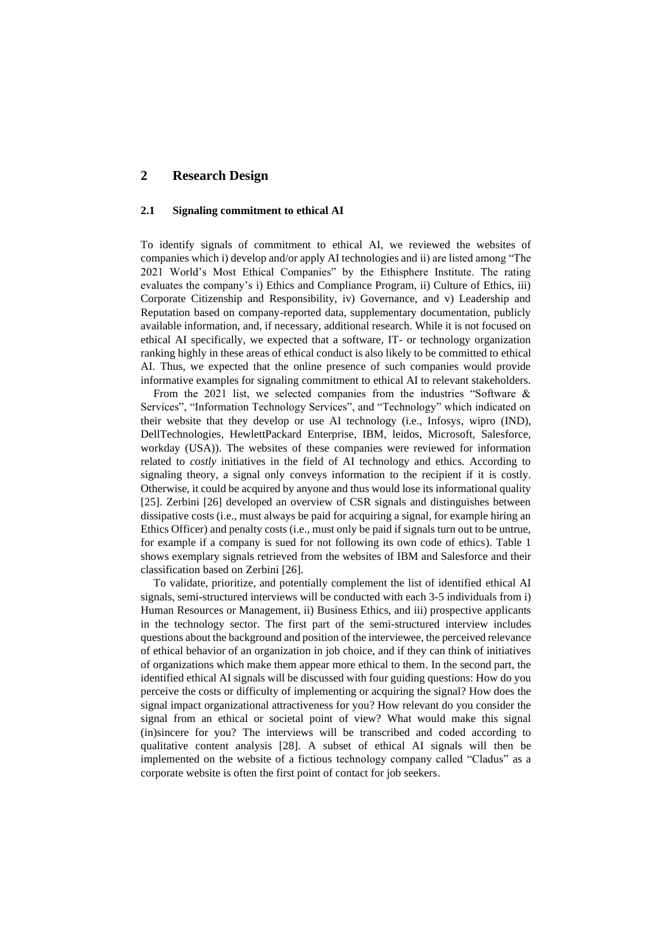#### **2 Research Design**

#### **2.1 Signaling commitment to ethical AI**

To identify signals of commitment to ethical AI, we reviewed the websites of companies which i) develop and/or apply AI technologies and ii) are listed among "The 2021 World's Most Ethical Companies" by the Ethisphere Institute. The rating evaluates the company's i) Ethics and Compliance Program, ii) Culture of Ethics, iii) Corporate Citizenship and Responsibility, iv) Governance, and v) Leadership and Reputation based on company-reported data, supplementary documentation, publicly available information, and, if necessary, additional research. While it is not focused on ethical AI specifically, we expected that a software, IT- or technology organization ranking highly in these areas of ethical conduct is also likely to be committed to ethical AI. Thus, we expected that the online presence of such companies would provide informative examples for signaling commitment to ethical AI to relevant stakeholders.

From the 2021 list, we selected companies from the industries "Software & Services", "Information Technology Services", and "Technology" which indicated on their website that they develop or use AI technology (i.e., Infosys, wipro (IND), DellTechnologies, HewlettPackard Enterprise, IBM, leidos, Microsoft, Salesforce, workday (USA)). The websites of these companies were reviewed for information related to *costly* initiatives in the field of AI technology and ethics. According to signaling theory, a signal only conveys information to the recipient if it is costly. Otherwise, it could be acquired by anyone and thus would lose its informational quality [25]. Zerbini [26] developed an overview of CSR signals and distinguishes between dissipative costs (i.e., must always be paid for acquiring a signal, for example hiring an Ethics Officer) and penalty costs (i.e., must only be paid if signals turn out to be untrue, for example if a company is sued for not following its own code of ethics). Table 1 shows exemplary signals retrieved from the websites of IBM and Salesforce and their classification based on Zerbini [26].

To validate, prioritize, and potentially complement the list of identified ethical AI signals, semi-structured interviews will be conducted with each 3-5 individuals from i) Human Resources or Management, ii) Business Ethics, and iii) prospective applicants in the technology sector. The first part of the semi-structured interview includes questions about the background and position of the interviewee, the perceived relevance of ethical behavior of an organization in job choice, and if they can think of initiatives of organizations which make them appear more ethical to them. In the second part, the identified ethical AI signals will be discussed with four guiding questions: How do you perceive the costs or difficulty of implementing or acquiring the signal? How does the signal impact organizational attractiveness for you? How relevant do you consider the signal from an ethical or societal point of view? What would make this signal (in)sincere for you? The interviews will be transcribed and coded according to qualitative content analysis [28]. A subset of ethical AI signals will then be implemented on the website of a fictious technology company called "Cladus" as a corporate website is often the first point of contact for job seekers.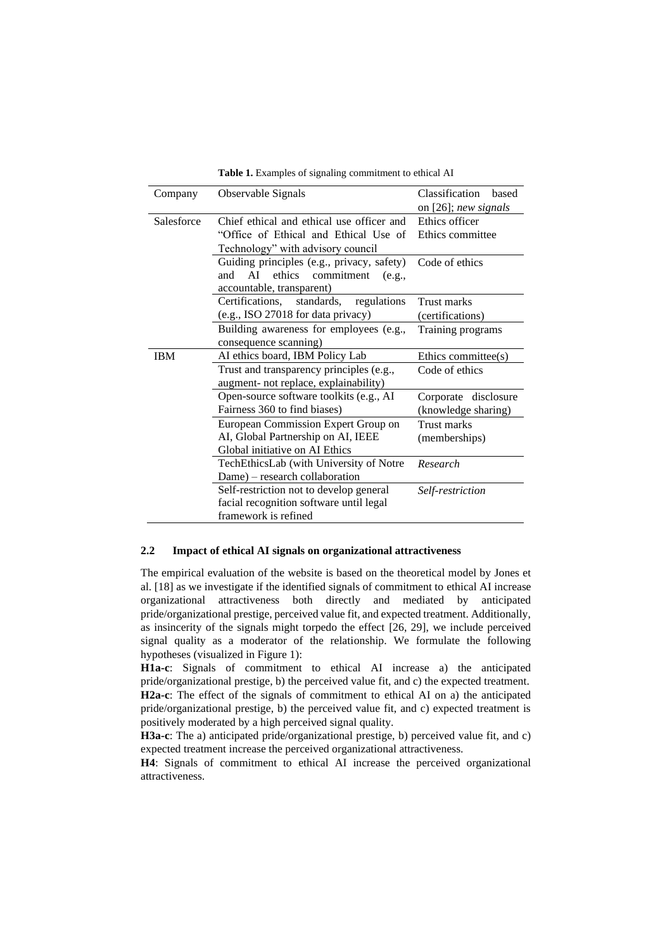| Company    | Observable Signals                                                                                                      | Classification<br>based<br>on [26]; new signals |
|------------|-------------------------------------------------------------------------------------------------------------------------|-------------------------------------------------|
| Salesforce | Chief ethical and ethical use officer and<br>"Office of Ethical and Ethical Use of<br>Technology" with advisory council | Ethics officer<br>Ethics committee              |
|            | Guiding principles (e.g., privacy, safety)<br>AI<br>ethics commitment<br>and<br>(e.g.,<br>accountable, transparent)     | Code of ethics                                  |
|            | Certifications,<br>standards,<br>regulations<br>(e.g., ISO 27018 for data privacy)                                      | Trust marks<br>(certifications)                 |
|            | Building awareness for employees (e.g.,<br>consequence scanning)                                                        | Training programs                               |
| <b>IBM</b> | AI ethics board, IBM Policy Lab                                                                                         | Ethics committee(s)                             |
|            | Trust and transparency principles (e.g.,<br>augment- not replace, explainability)                                       | Code of ethics                                  |
|            | Open-source software toolkits (e.g., AI<br>Fairness 360 to find biases)                                                 | Corporate disclosure<br>(knowledge sharing)     |
|            | European Commission Expert Group on<br>AI, Global Partnership on AI, IEEE<br>Global initiative on AI Ethics             | Trust marks<br>(memberships)                    |
|            | TechEthicsLab (with University of Notre<br>Dame) – research collaboration                                               | Research                                        |
|            | Self-restriction not to develop general<br>facial recognition software until legal<br>framework is refined              | Self-restriction                                |

**Table 1.** Examples of signaling commitment to ethical AI

#### **2.2 Impact of ethical AI signals on organizational attractiveness**

The empirical evaluation of the website is based on the theoretical model by Jones et al. [18] as we investigate if the identified signals of commitment to ethical AI increase organizational attractiveness both directly and mediated by anticipated pride/organizational prestige, perceived value fit, and expected treatment. Additionally, as insincerity of the signals might torpedo the effect [26, 29], we include perceived signal quality as a moderator of the relationship. We formulate the following hypotheses (visualized in Figure 1):

**H1a-c**: Signals of commitment to ethical AI increase a) the anticipated pride/organizational prestige, b) the perceived value fit, and c) the expected treatment. **H2a-c**: The effect of the signals of commitment to ethical AI on a) the anticipated pride/organizational prestige, b) the perceived value fit, and c) expected treatment is positively moderated by a high perceived signal quality.

**H3a-c**: The a) anticipated pride/organizational prestige, b) perceived value fit, and c) expected treatment increase the perceived organizational attractiveness.

**H4**: Signals of commitment to ethical AI increase the perceived organizational attractiveness.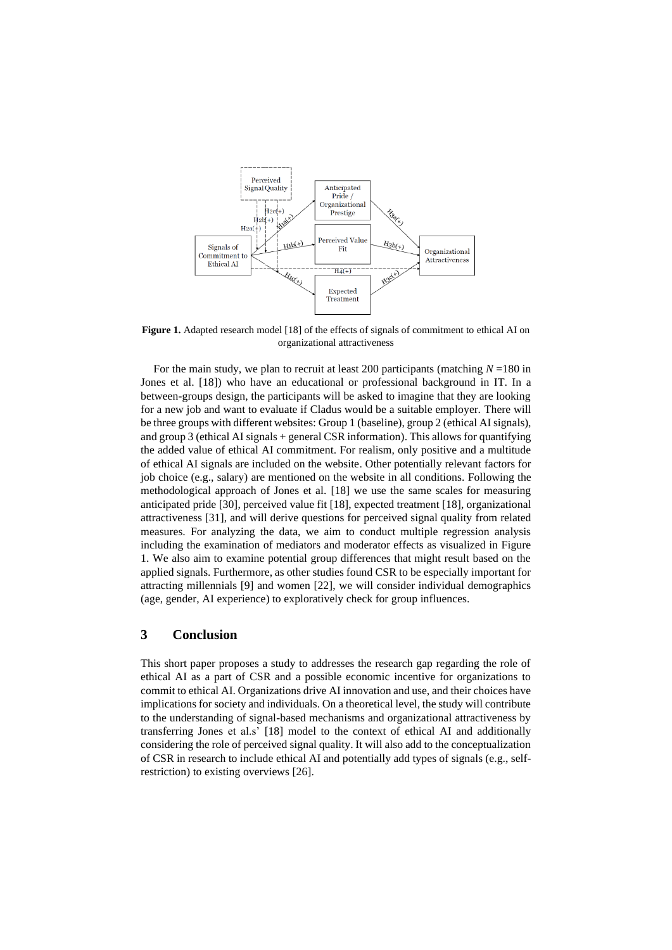

**Figure 1.** Adapted research model [18] of the effects of signals of commitment to ethical AI on organizational attractiveness

For the main study, we plan to recruit at least 200 participants (matching  $N = 180$  in Jones et al. [18]) who have an educational or professional background in IT. In a between-groups design, the participants will be asked to imagine that they are looking for a new job and want to evaluate if Cladus would be a suitable employer. There will be three groups with different websites: Group 1 (baseline), group 2 (ethical AI signals), and group 3 (ethical AI signals + general CSR information). This allows for quantifying the added value of ethical AI commitment. For realism, only positive and a multitude of ethical AI signals are included on the website. Other potentially relevant factors for job choice (e.g., salary) are mentioned on the website in all conditions. Following the methodological approach of Jones et al. [18] we use the same scales for measuring anticipated pride [30], perceived value fit [18], expected treatment [18], organizational attractiveness [31], and will derive questions for perceived signal quality from related measures. For analyzing the data, we aim to conduct multiple regression analysis including the examination of mediators and moderator effects as visualized in Figure 1. We also aim to examine potential group differences that might result based on the applied signals. Furthermore, as other studies found CSR to be especially important for attracting millennials [9] and women [22], we will consider individual demographics (age, gender, AI experience) to exploratively check for group influences.

#### **3 Conclusion**

This short paper proposes a study to addresses the research gap regarding the role of ethical AI as a part of CSR and a possible economic incentive for organizations to commit to ethical AI. Organizations drive AI innovation and use, and their choices have implications for society and individuals. On a theoretical level, the study will contribute to the understanding of signal-based mechanisms and organizational attractiveness by transferring Jones et al.s' [18] model to the context of ethical AI and additionally considering the role of perceived signal quality. It will also add to the conceptualization of CSR in research to include ethical AI and potentially add types of signals (e.g., selfrestriction) to existing overviews [26].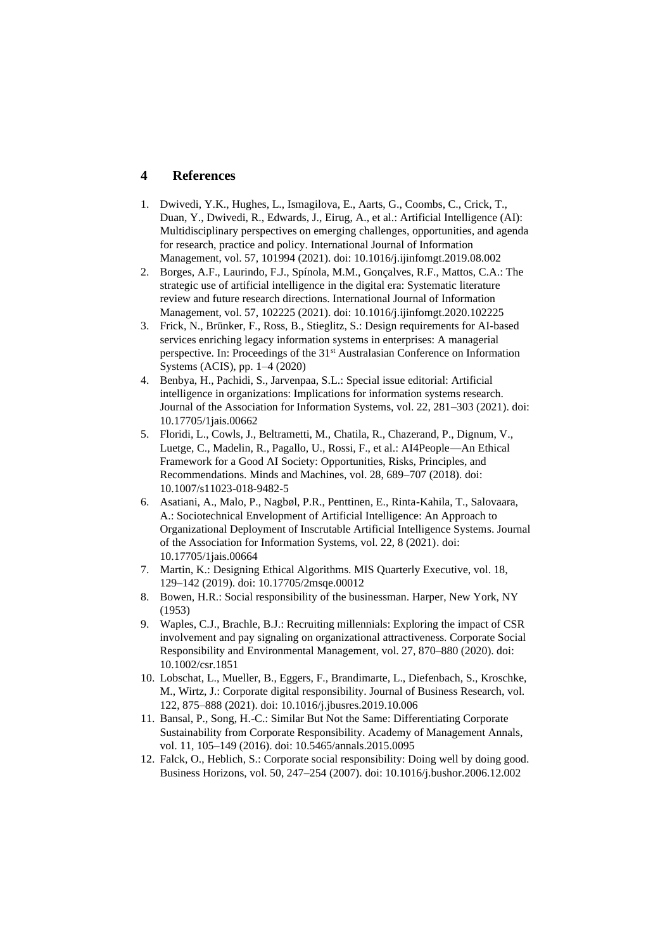#### **4 References**

- 1. Dwivedi, Y.K., Hughes, L., Ismagilova, E., Aarts, G., Coombs, C., Crick, T., Duan, Y., Dwivedi, R., Edwards, J., Eirug, A., et al.: Artificial Intelligence (AI): Multidisciplinary perspectives on emerging challenges, opportunities, and agenda for research, practice and policy. International Journal of Information Management, vol. 57, 101994 (2021). doi: 10.1016/j.ijinfomgt.2019.08.002
- 2. Borges, A.F., Laurindo, F.J., Spínola, M.M., Gonçalves, R.F., Mattos, C.A.: The strategic use of artificial intelligence in the digital era: Systematic literature review and future research directions. International Journal of Information Management, vol. 57, 102225 (2021). doi: 10.1016/j.ijinfomgt.2020.102225
- 3. Frick, N., Brünker, F., Ross, B., Stieglitz, S.: Design requirements for AI-based services enriching legacy information systems in enterprises: A managerial perspective. In: Proceedings of the 31<sup>st</sup> Australasian Conference on Information Systems (ACIS), pp. 1–4 (2020)
- 4. Benbya, H., Pachidi, S., Jarvenpaa, S.L.: Special issue editorial: Artificial intelligence in organizations: Implications for information systems research. Journal of the Association for Information Systems, vol. 22, 281–303 (2021). doi: 10.17705/1jais.00662
- 5. Floridi, L., Cowls, J., Beltrametti, M., Chatila, R., Chazerand, P., Dignum, V., Luetge, C., Madelin, R., Pagallo, U., Rossi, F., et al.: AI4People—An Ethical Framework for a Good AI Society: Opportunities, Risks, Principles, and Recommendations. Minds and Machines, vol. 28, 689–707 (2018). doi: 10.1007/s11023-018-9482-5
- 6. Asatiani, A., Malo, P., Nagbøl, P.R., Penttinen, E., Rinta-Kahila, T., Salovaara, A.: Sociotechnical Envelopment of Artificial Intelligence: An Approach to Organizational Deployment of Inscrutable Artificial Intelligence Systems. Journal of the Association for Information Systems, vol. 22, 8 (2021). doi: 10.17705/1jais.00664
- 7. Martin, K.: Designing Ethical Algorithms. MIS Quarterly Executive, vol. 18, 129–142 (2019). doi: 10.17705/2msqe.00012
- 8. Bowen, H.R.: Social responsibility of the businessman. Harper, New York, NY (1953)
- 9. Waples, C.J., Brachle, B.J.: Recruiting millennials: Exploring the impact of CSR involvement and pay signaling on organizational attractiveness. Corporate Social Responsibility and Environmental Management, vol. 27, 870–880 (2020). doi: 10.1002/csr.1851
- 10. Lobschat, L., Mueller, B., Eggers, F., Brandimarte, L., Diefenbach, S., Kroschke, M., Wirtz, J.: Corporate digital responsibility. Journal of Business Research, vol. 122, 875–888 (2021). doi: 10.1016/j.jbusres.2019.10.006
- 11. Bansal, P., Song, H.-C.: Similar But Not the Same: Differentiating Corporate Sustainability from Corporate Responsibility. Academy of Management Annals, vol. 11, 105–149 (2016). doi: 10.5465/annals.2015.0095
- 12. Falck, O., Heblich, S.: Corporate social responsibility: Doing well by doing good. Business Horizons, vol. 50, 247–254 (2007). doi: 10.1016/j.bushor.2006.12.002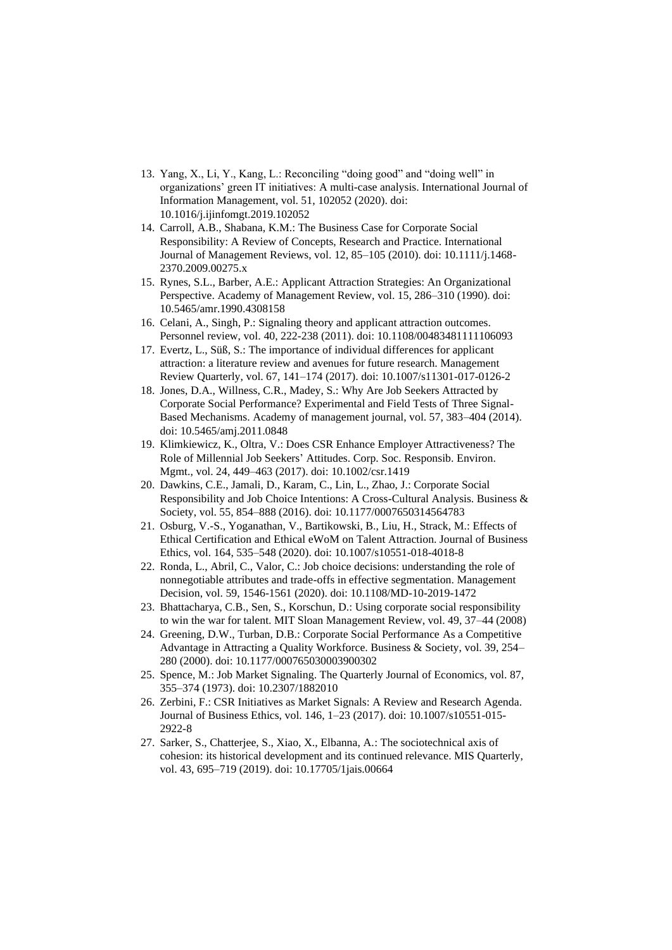- 13. Yang, X., Li, Y., Kang, L.: Reconciling "doing good" and "doing well" in organizations' green IT initiatives: A multi-case analysis. International Journal of Information Management, vol. 51, 102052 (2020). doi: 10.1016/j.ijinfomgt.2019.102052
- 14. Carroll, A.B., Shabana, K.M.: The Business Case for Corporate Social Responsibility: A Review of Concepts, Research and Practice. International Journal of Management Reviews, vol. 12, 85–105 (2010). doi: 10.1111/j.1468- 2370.2009.00275.x
- 15. Rynes, S.L., Barber, A.E.: Applicant Attraction Strategies: An Organizational Perspective. Academy of Management Review, vol. 15, 286–310 (1990). doi: 10.5465/amr.1990.4308158
- 16. Celani, A., Singh, P.: Signaling theory and applicant attraction outcomes. Personnel review, vol. 40, 222-238 (2011). doi: 10.1108/00483481111106093
- 17. Evertz, L., Süß, S.: The importance of individual differences for applicant attraction: a literature review and avenues for future research. Management Review Quarterly, vol. 67, 141–174 (2017). doi: 10.1007/s11301-017-0126-2
- 18. Jones, D.A., Willness, C.R., Madey, S.: Why Are Job Seekers Attracted by Corporate Social Performance? Experimental and Field Tests of Three Signal-Based Mechanisms. Academy of management journal, vol. 57, 383–404 (2014). doi: 10.5465/amj.2011.0848
- 19. Klimkiewicz, K., Oltra, V.: Does CSR Enhance Employer Attractiveness? The Role of Millennial Job Seekers' Attitudes. Corp. Soc. Responsib. Environ. Mgmt., vol. 24, 449–463 (2017). doi: 10.1002/csr.1419
- 20. Dawkins, C.E., Jamali, D., Karam, C., Lin, L., Zhao, J.: Corporate Social Responsibility and Job Choice Intentions: A Cross-Cultural Analysis. Business & Society, vol. 55, 854–888 (2016). doi: 10.1177/0007650314564783
- 21. Osburg, V.-S., Yoganathan, V., Bartikowski, B., Liu, H., Strack, M.: Effects of Ethical Certification and Ethical eWoM on Talent Attraction. Journal of Business Ethics, vol. 164, 535–548 (2020). doi: 10.1007/s10551-018-4018-8
- 22. Ronda, L., Abril, C., Valor, C.: Job choice decisions: understanding the role of nonnegotiable attributes and trade-offs in effective segmentation. Management Decision, vol. 59, 1546-1561 (2020). doi: 10.1108/MD-10-2019-1472
- 23. Bhattacharya, C.B., Sen, S., Korschun, D.: Using corporate social responsibility to win the war for talent. MIT Sloan Management Review, vol. 49, 37–44 (2008)
- 24. Greening, D.W., Turban, D.B.: Corporate Social Performance As a Competitive Advantage in Attracting a Quality Workforce. Business & Society, vol. 39, 254– 280 (2000). doi: 10.1177/000765030003900302
- 25. Spence, M.: Job Market Signaling. The Quarterly Journal of Economics, vol. 87, 355–374 (1973). doi: 10.2307/1882010
- 26. Zerbini, F.: CSR Initiatives as Market Signals: A Review and Research Agenda. Journal of Business Ethics, vol. 146, 1–23 (2017). doi: 10.1007/s10551-015- 2922-8
- 27. Sarker, S., Chatterjee, S., Xiao, X., Elbanna, A.: The sociotechnical axis of cohesion: its historical development and its continued relevance. MIS Quarterly, vol. 43, 695–719 (2019). doi: 10.17705/1jais.00664